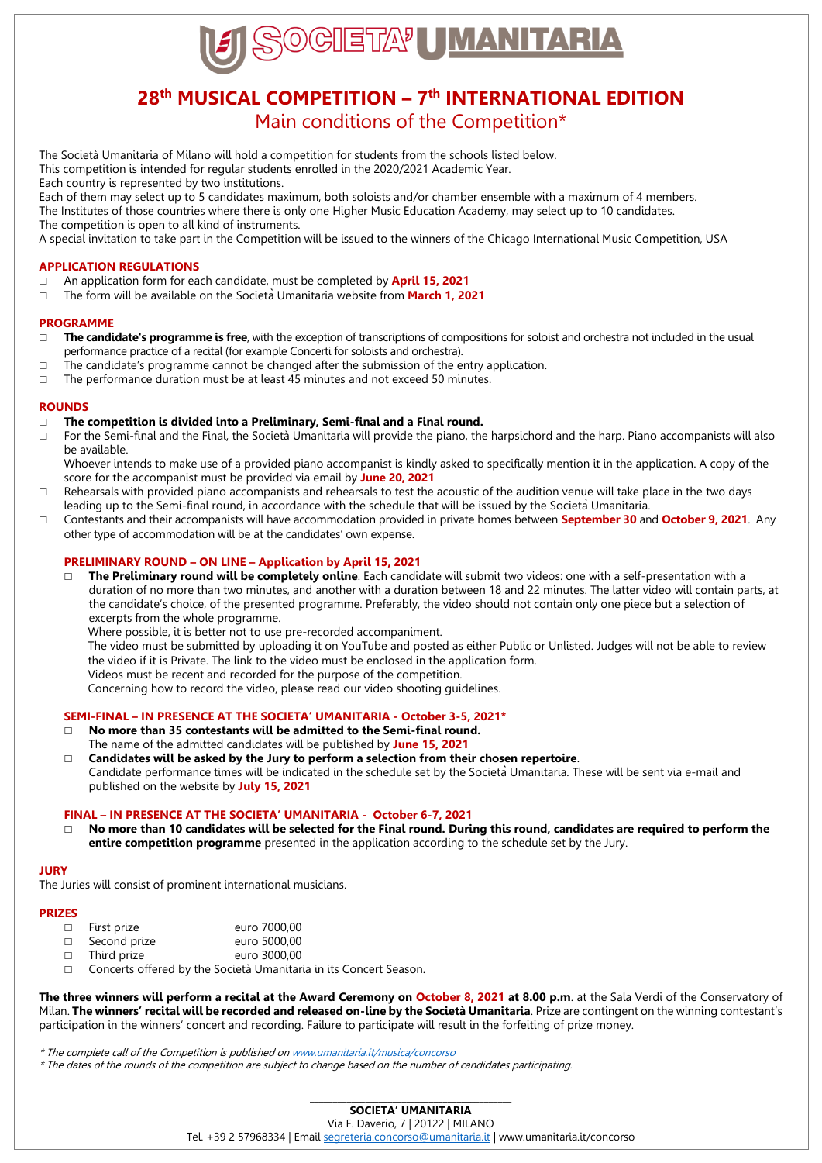

# **28th MUSICAL COMPETITION – 7 th INTERNATIONAL EDITION**

## Main conditions of the Competition\*

The Società Umanitaria of Milano will hold a competition for students from the schools listed below. This competition is intended for regular students enrolled in the 2020/2021 Academic Year.

Each country is represented by two institutions.

Each of them may select up to 5 candidates maximum, both soloists and/or chamber ensemble with a maximum of 4 members. The Institutes of those countries where there is only one Higher Music Education Academy, may select up to 10 candidates. The competition is open to all kind of instruments.

A special invitation to take part in the Competition will be issued to the winners of the Chicago International Music Competition, USA

#### **APPLICATION REGULATIONS**

- An application form for each candidate, must be completed by **April 15, 2021**
- The form will be available on the SocietàUmanitaria website from **March 1, 2021**

#### **PROGRAMME**

- □ The candidate's programme is free, with the exception of transcriptions of compositions for soloist and orchestra not included in the usual performance practice of a recital (for example Concerti for soloists and orchestra).
- $\Box$  The candidate's programme cannot be changed after the submission of the entry application.
- $\Box$  The performance duration must be at least 45 minutes and not exceed 50 minutes.

#### **ROUNDS**

#### **The competition is divided into a Preliminary, Semi-final and a Final round.**

□ For the Semi-final and the Final, the Società Umanitaria will provide the piano, the harpsichord and the harp. Piano accompanists will also be available.

Whoever intends to make use of a provided piano accompanist is kindly asked to specifically mention it in the application. A copy of the score for the accompanist must be provided via email by **June [20, 202](x-apple-data-detectors://19/)1**

- $\Box$  Rehearsals with provided piano accompanists and rehearsals to test the acoustic of the audition venue will take place in the two days leading up to the Semi-final round, in accordance with the schedule that will be issued by the SocietàUmanitaria.
- Contestants and their accompanists will have accommodation provided in private homes between **September 30** and **October 9, 2021**. Any other type of accommodation will be at the candidates' own expense.

#### **PRELIMINARY ROUND – ON LINE – Application by April 15, 2021**

 **The Preliminary round will be completely online**. Each candidate will submit two videos: one with a self-presentation with a duration of no more than two minutes, and another with a duration between 18 and 22 minutes. The latter video will contain parts, at the candidate's choice, of the presented programme. Preferably, the video should not contain only one piece but a selection of excerpts from the whole programme.

Where possible, it is better not to use pre-recorded accompaniment.

The video must be submitted by uploading it on YouTube and posted as either Public or Unlisted. Judges will not be able to review the video if it is Private. The link to the video must be enclosed in the application form. Videos must be recent and recorded for the purpose of the competition.

Concerning how to record the video, please read our video shooting guidelines.

#### **SEMI-FINAL – IN PRESENCE AT THE SOCIETA' UMANITARIA - October 3-5, 2021\***

- **No more than 35 contestants will be admitted to the Semi-final round.** The name of the admitted candidates will be published by **June 15, 2021**
- **Candidates will be asked by the Jury to perform a selection from their chosen repertoire**. Candidate performance times will be indicated in the schedule set by the SocietàUmanitaria. These will be sent via e-mail and published on the website by **[July 15](x-apple-data-detectors://23/), 2021**

#### **FINAL – IN PRESENCE AT THE SOCIETA' UMANITARIA - October 6-7, 2021**

 **No more than 10 candidates will be selected for the Final round. During this round, candidates are required to perform the entire competition programme** presented in the application according to the schedule set by the Jury.

#### **JURY**

The Juries will consist of prominent international musicians.

#### **PRIZES**

|        | $\Box$ First prize | euro 7000,00 |
|--------|--------------------|--------------|
| $\Box$ | Second prize       | euro 5000.00 |
| $\Box$ | Third prize        | euro 3000.00 |

□ Concerts offered by the Società Umanitaria in its Concert Season.

**The three winners will perform a recital at the Award Ceremony on October 8, 2021 at 8.00 p.m**. at the Sala Verdi of the Conservatory of Milan. **The winners' recital will be recorded and released on-line by the Società Umanitaria**. Prize are contingent on the winning contestant's participation in the winners' concert and recording. Failure to participate will result in the forfeiting of prize money.

\* The complete call of the Competition is published o[n www.umanitaria.it/musica/concorso](http://www.umanitaria.it/musica/concorso)

\* The dates of the rounds of the competition are subject to change based on the number of candidates participating.

Tel. +39 2 57968334 | Emai[l segreteria.concorso@umanitaria.it](mailto:segreteria.concorso@umanitaria.it) | www.umanitaria.it/concorso